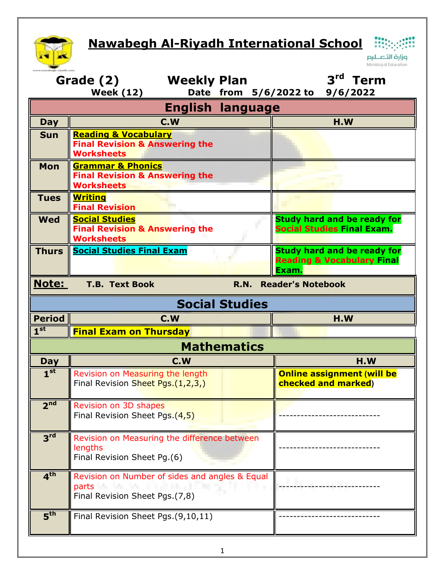## **Nawabegh Al-Riyadh International School**



 $\ddot{...}$ وزارة التصليم Ministry of Education

| 3rd Term<br><b>Weekly Plan</b><br>Grade (2)<br>Date from 5/6/2022 to 9/6/2022<br><b>Week (12)</b> |                                                                                                               |                                                                                      |  |  |  |
|---------------------------------------------------------------------------------------------------|---------------------------------------------------------------------------------------------------------------|--------------------------------------------------------------------------------------|--|--|--|
| <b>English language</b>                                                                           |                                                                                                               |                                                                                      |  |  |  |
| <b>Day</b>                                                                                        | C.W                                                                                                           | H.W                                                                                  |  |  |  |
| <b>Sun</b>                                                                                        | <b>Reading &amp; Vocabulary</b><br><b>Final Revision &amp; Answering the</b><br><b>Worksheets</b>             |                                                                                      |  |  |  |
| <b>Mon</b>                                                                                        | <b>Grammar &amp; Phonics</b><br><b>Final Revision &amp; Answering the</b><br><b>Worksheets</b>                |                                                                                      |  |  |  |
| <b>Tues</b>                                                                                       | <b>Writing</b><br><b>Final Revision</b>                                                                       |                                                                                      |  |  |  |
| <b>Wed</b>                                                                                        | <b>Social Studies</b><br><b>Final Revision &amp; Answering the</b><br><b>Worksheets</b>                       | <b>Study hard and be ready for</b><br><b>Social Studies Final Exam.</b>              |  |  |  |
| <b>Thurs</b>                                                                                      | <b>Social Studies Final Exam</b>                                                                              | <b>Study hard and be ready for</b><br><b>Reading &amp; Vocabulary Final</b><br>Exam. |  |  |  |
| <b>Note:</b><br><b>T.B. Text Book</b><br><b>Reader's Notebook</b><br>R.N.                         |                                                                                                               |                                                                                      |  |  |  |
| <b>Social Studies</b>                                                                             |                                                                                                               |                                                                                      |  |  |  |
| <b>Period</b>                                                                                     | C.W                                                                                                           | H.W                                                                                  |  |  |  |
| $1^{\rm st}$                                                                                      | <b>Final Exam on Thursday</b>                                                                                 |                                                                                      |  |  |  |
| <b>Mathematics</b>                                                                                |                                                                                                               |                                                                                      |  |  |  |
| Day                                                                                               | C.W                                                                                                           | H.W                                                                                  |  |  |  |
| 1 <sup>st</sup>                                                                                   | Revision on Measuring the length<br>Final Revision Sheet Pgs.(1,2,3,)                                         | <b>Online assignment (will be</b><br><b>checked and marked)</b>                      |  |  |  |
| 2 <sup>nd</sup>                                                                                   | Revision on 3D shapes<br>Final Revision Sheet Pgs.(4,5)                                                       |                                                                                      |  |  |  |
| 3 <sup>rd</sup>                                                                                   | Revision on Measuring the difference between<br>lengths<br>Final Revision Sheet Pg.(6)                        |                                                                                      |  |  |  |
| 4 <sup>th</sup>                                                                                   | Revision on Number of sides and angles & Equal<br>parts <b>Manufacturer</b><br>Final Revision Sheet Pgs.(7,8) |                                                                                      |  |  |  |
| 5 <sup>th</sup>                                                                                   | Final Revision Sheet Pgs. (9,10,11)                                                                           |                                                                                      |  |  |  |